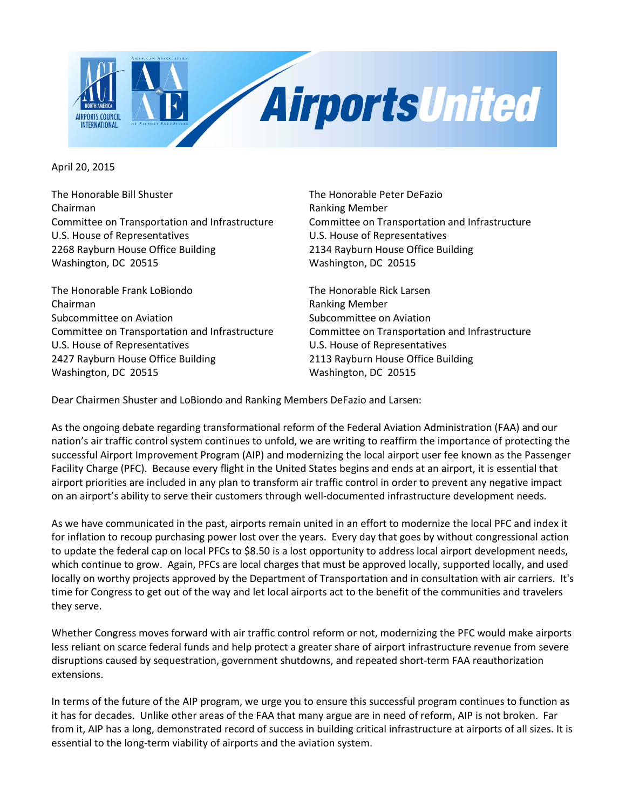

April 20, 2015

The Honorable Bill Shuster The Honorable Peter DeFazio Chairman **Chairman Ranking Member** Committee on Transportation and Infrastructure Committee on Transportation and Infrastructure U.S. House of Representatives U.S. House of Representatives 2268 Rayburn House Office Building 2134 Rayburn House Office Building Washington, DC 20515 Washington, DC 20515

The Honorable Frank LoBiondo The Honorable Rick Larsen Chairman **Ranking Member** Ranking Member Subcommittee on Aviation Subcommittee on Aviation U.S. House of Representatives U.S. House of Representatives 2427 Rayburn House Office Building 2113 Rayburn House Office Building Washington, DC 20515 Washington, DC 20515

Committee on Transportation and Infrastructure Committee on Transportation and Infrastructure

Dear Chairmen Shuster and LoBiondo and Ranking Members DeFazio and Larsen:

As the ongoing debate regarding transformational reform of the Federal Aviation Administration (FAA) and our nation's air traffic control system continues to unfold, we are writing to reaffirm the importance of protecting the successful Airport Improvement Program (AIP) and modernizing the local airport user fee known as the Passenger Facility Charge (PFC). Because every flight in the United States begins and ends at an airport, it is essential that airport priorities are included in any plan to transform air traffic control in order to prevent any negative impact on an airport's ability to serve their customers through well-documented infrastructure development needs.

As we have communicated in the past, airports remain united in an effort to modernize the local PFC and index it for inflation to recoup purchasing power lost over the years. Every day that goes by without congressional action to update the federal cap on local PFCs to \$8.50 is a lost opportunity to address local airport development needs, which continue to grow. Again, PFCs are local charges that must be approved locally, supported locally, and used locally on worthy projects approved by the Department of Transportation and in consultation with air carriers. It's time for Congress to get out of the way and let local airports act to the benefit of the communities and travelers they serve.

Whether Congress moves forward with air traffic control reform or not, modernizing the PFC would make airports less reliant on scarce federal funds and help protect a greater share of airport infrastructure revenue from severe disruptions caused by sequestration, government shutdowns, and repeated short-term FAA reauthorization extensions.

In terms of the future of the AIP program, we urge you to ensure this successful program continues to function as it has for decades. Unlike other areas of the FAA that many argue are in need of reform, AIP is not broken. Far from it, AIP has a long, demonstrated record of success in building critical infrastructure at airports of all sizes. It is essential to the long-term viability of airports and the aviation system.